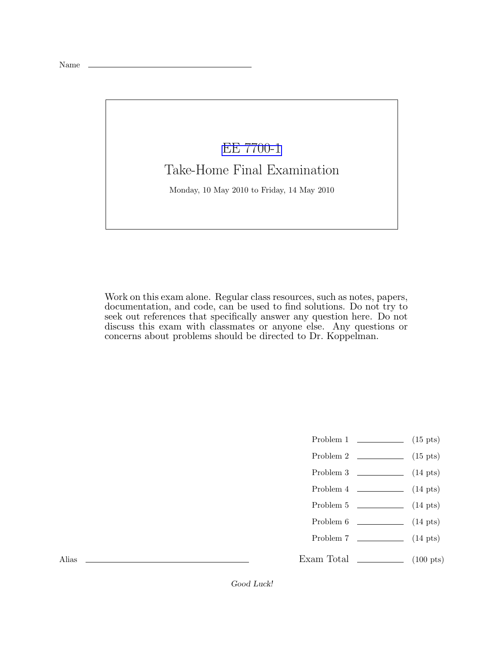## [EE 7700-1](http://www.ece.lsu.edu/gp/) Take-Home Final Examination

Monday, 10 May 2010 to Friday, 14 May 2010

Work on this exam alone. Regular class resources, such as notes, papers, documentation, and code, can be used to find solutions. Do not try to seek out references that specifically answer any question here. Do not discuss this exam with classmates or anyone else. Any questions or concerns about problems should be directed to Dr. Koppelman.

- Problem 1  $\qquad \qquad (15 \text{ pts})$
- Problem 2  $\qquad \qquad$  (15 pts)
- Problem 3  $\qquad \qquad$  (14 pts)
- Problem 4 (14 pts)
- Problem 5 (14 pts)
- Problem 6 (14 pts)
- Problem 7 (14 pts)
- Exam Total  $\qquad \qquad (100 \text{ pts})$

Alias

Good Luck!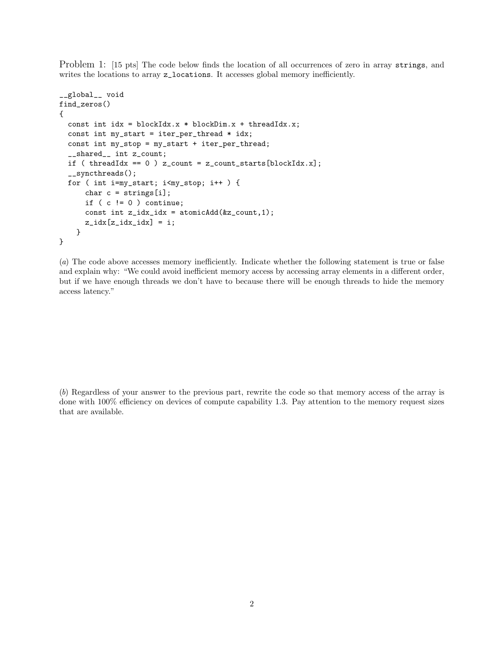Problem 1: [15 pts] The code below finds the location of all occurrences of zero in array strings, and writes the locations to array z\_locations. It accesses global memory inefficiently.

```
__global__ void
find_zeros()
{
  const int idx = blockIdx.x * blockDim.x + threadIdx.x;
  const int my_start = iter_per_thread * idx;
  const int my_stop = my_start + iter_per_thread;
  __shared__ int z_count;
  if ( threadIdx == 0 ) z_count = z_count_starts[blockIdx.x];
  __syncthreads();
  for ( int i=my_start; i<my_stop; i++ ) {
      char c = strings[i];
      if ( c != 0 ) continue;
      const int z_idx_idx = atomicAdd(kz_count,1);z\_idx[z\_idx\_idx] = i;}
}
```
(a) The code above accesses memory inefficiently. Indicate whether the following statement is true or false and explain why: "We could avoid inefficient memory access by accessing array elements in a different order, but if we have enough threads we don't have to because there will be enough threads to hide the memory access latency."

(b) Regardless of your answer to the previous part, rewrite the code so that memory access of the array is done with 100% efficiency on devices of compute capability 1.3. Pay attention to the memory request sizes that are available.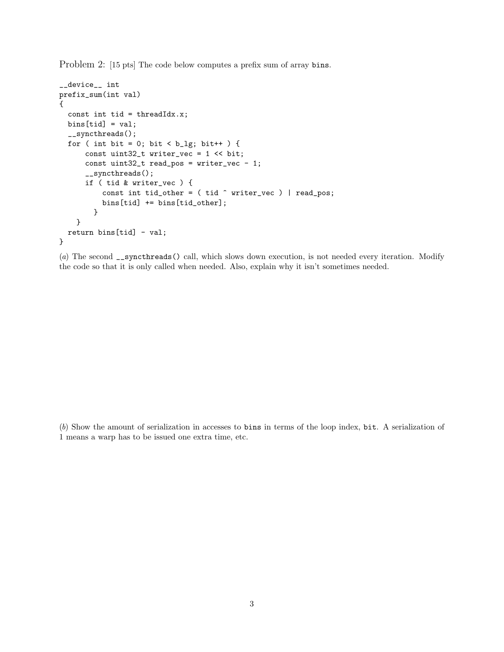Problem 2: [15 pts] The code below computes a prefix sum of array bins.

```
__device__ int
prefix_sum(int val)
{
  const int tid = threadIdx.x;
  bins[tid] = val;
  __syncthreads();
  for ( int bit = 0; bit < b_lig; bit++ ) {
      const uint32_t writer_vec = 1 << bit;
      const uint32_t read_pos = writer_vec - 1;
      __syncthreads();
      if ( tid & writer_vec ) {
          const int tid_other = ( tid ^ writer_vec ) | read_pos;
          bins[tid] += bins[tid_other];
        }
    }
  return bins[tid] - val;
}
```
(a) The second \_\_syncthreads() call, which slows down execution, is not needed every iteration. Modify the code so that it is only called when needed. Also, explain why it isn't sometimes needed.

(b) Show the amount of serialization in accesses to bins in terms of the loop index, bit. A serialization of 1 means a warp has to be issued one extra time, etc.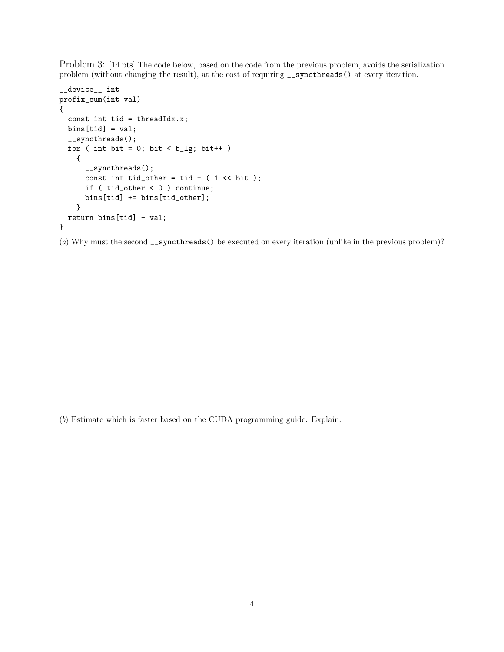Problem 3: [14 pts] The code below, based on the code from the previous problem, avoids the serialization problem (without changing the result), at the cost of requiring  $\text{\_symbol{g}}$  at every iteration.

```
__device__ int
prefix_sum(int val)
{
  const int tid = threadIdx.x;
  bins[tid] = val;
  __syncthreads();
  for ( int bit = 0; bit < b_{1g}; bit ++ )
    {
      __syncthreads();
      const int tid_other = tid - ( 1 \lt\lt bit );
      if ( tid_other < 0 ) continue;
      bins[tid] += bins[tid_other];
    }
 return bins[tid] - val;
}
```
(a) Why must the second \_\_syncthreads() be executed on every iteration (unlike in the previous problem)?

(b) Estimate which is faster based on the CUDA programming guide. Explain.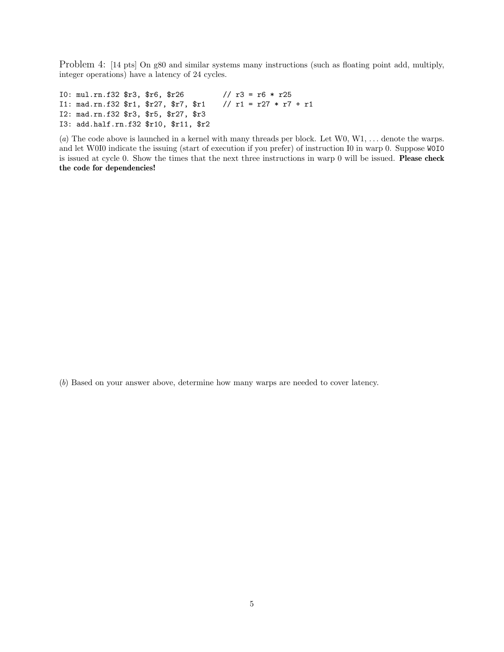Problem 4: [14 pts] On g80 and similar systems many instructions (such as floating point add, multiply, integer operations) have a latency of 24 cycles.

I0: mul.rn.f32 \$r3, \$r6, \$r26 // r3 = r6 \* r25 I1: mad.rn.f32 \$r1, \$r27, \$r7, \$r1 // r1 = r27 \* r7 + r1 I2: mad.rn.f32 \$r3, \$r5, \$r27, \$r3 I3: add.half.rn.f32 \$r10, \$r11, \$r2

(a) The code above is launched in a kernel with many threads per block. Let  $W0, W1, \ldots$  denote the warps. and let W0I0 indicate the issuing (start of execution if you prefer) of instruction I0 in warp 0. Suppose W0I0 is issued at cycle 0. Show the times that the next three instructions in warp 0 will be issued. Please check the code for dependencies!

(b) Based on your answer above, determine how many warps are needed to cover latency.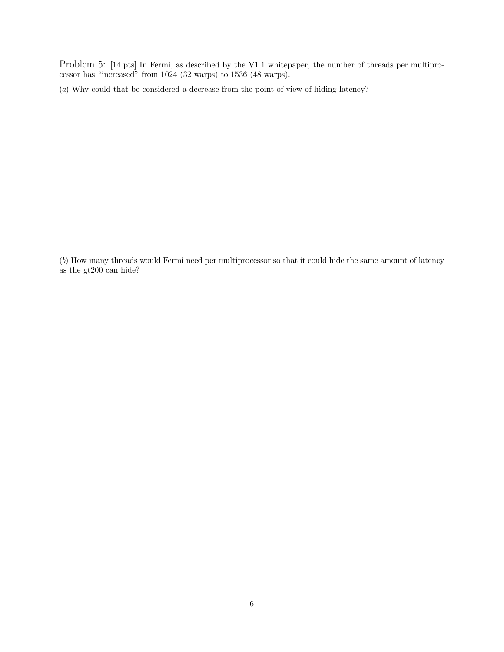Problem 5: [14 pts] In Fermi, as described by the V1.1 whitepaper, the number of threads per multiprocessor has "increased" from 1024 (32 warps) to 1536 (48 warps).

(a) Why could that be considered a decrease from the point of view of hiding latency?

(b) How many threads would Fermi need per multiprocessor so that it could hide the same amount of latency as the gt200 can hide?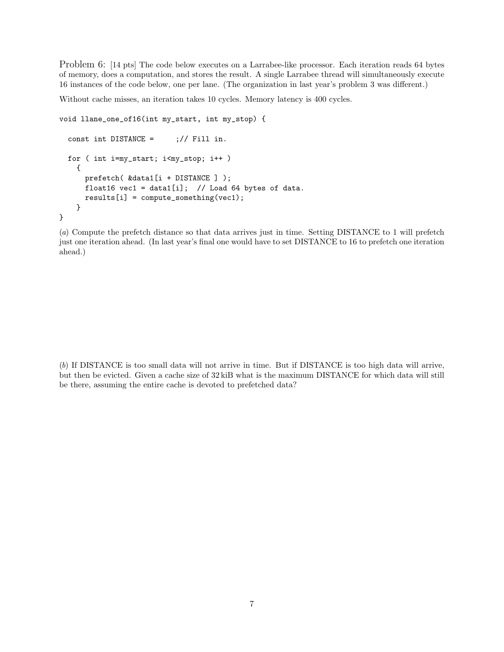Problem 6: [14 pts] The code below executes on a Larrabee-like processor. Each iteration reads 64 bytes of memory, does a computation, and stores the result. A single Larrabee thread will simultaneously execute 16 instances of the code below, one per lane. (The organization in last year's problem 3 was different.)

Without cache misses, an iteration takes 10 cycles. Memory latency is 400 cycles.

```
void llane_one_of16(int my_start, int my_stop) {
  const int DISTANCE = \frac{1}{1} ; // Fill in.
  for ( int i=my_start; i<my_stop; i++ )
    {
      prefetch( &data1[i + DISTANCE ] );
      float16 vec1 = data1[i]; // Load 64 bytes of data.
      results[i] = compute_something(vec1);
    }
}
```
(a) Compute the prefetch distance so that data arrives just in time. Setting DISTANCE to 1 will prefetch just one iteration ahead. (In last year's final one would have to set DISTANCE to 16 to prefetch one iteration ahead.)

(b) If DISTANCE is too small data will not arrive in time. But if DISTANCE is too high data will arrive, but then be evicted. Given a cache size of 32 kiB what is the maximum DISTANCE for which data will still be there, assuming the entire cache is devoted to prefetched data?